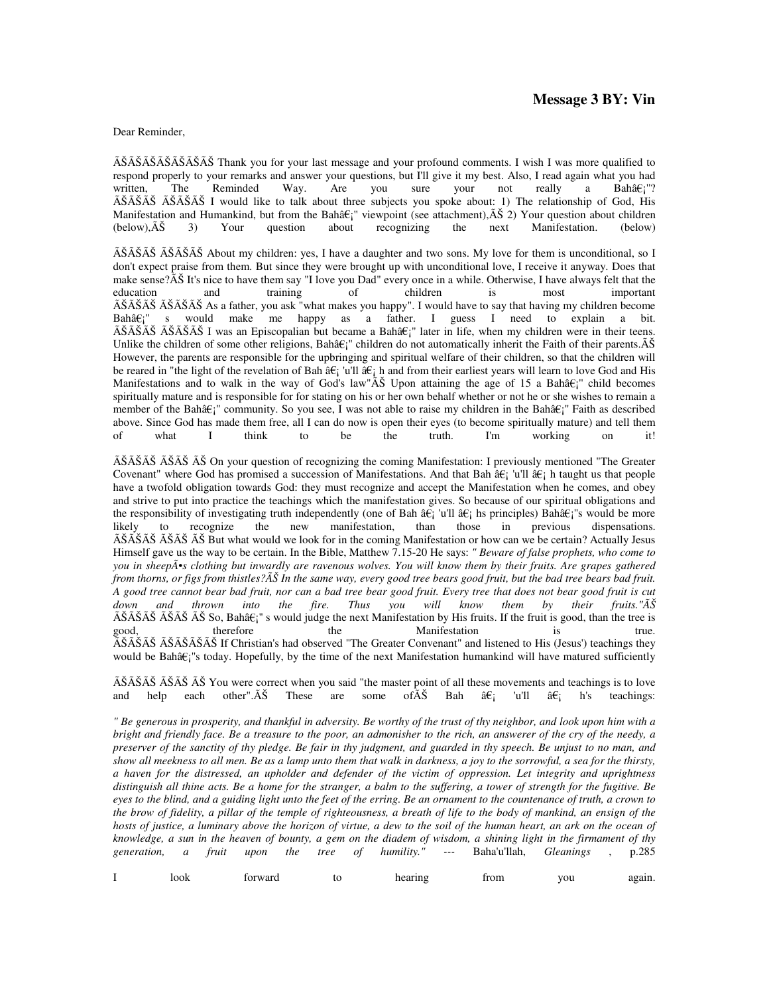## Dear Reminder,

 $\tilde{A}\tilde{S}\tilde{A}\tilde{S}\tilde{A}\tilde{S}\tilde{A}\tilde{S}\tilde{A}\tilde{S}$  Thank you for your last message and your profound comments. I wish I was more qualified to respond properly to your remarks and answer your questions, but I'll give it my best. Also, I read again what you had written, The Reminded Way. Are you sure your not really a Bahâ $\epsilon$ i''? written, The Reminded Way. Are you sure your not really a Bahâ $\epsilon$ i''? Bahâ€;"?  $\tilde{A}$ Š $\tilde{A}$ Š $\tilde{A}$ Š $\tilde{A}$ Š $\tilde{A}$ Š $\tilde{A}$  I would like to talk about three subjects you spoke about: 1) The relationship of God, His Manifestation and Humankind, but from the Bahâ $\hat{\epsilon}_i$ " viewpoint (see attachment), $\tilde{A}\tilde{S}$  2) Your question about children (below), $\tilde{A} \tilde{S}$  3) Your question about recognizing the next Manifestation. (below)

ÊÊÊ ÃŠÃŠÃŠ About my children: yes, I have a daughter and two sons. My love for them is unconditional, so I don't expect praise from them. But since they were brought up with unconditional love, I receive it anyway. Does that make sense? $\tilde{A} \tilde{S}$  It's nice to have them say "I love you Dad" every once in a while. Otherwise, I have always felt that the education and training of children is most important education and training of children is most important ÊÊÊ ÊÊÊ As a father, you ask "what makes you happy". I would have to say that having my children become Bahâ $\epsilon$ <sup>"</sup> s would make me happy as a father. I guess I need to explain a bit.  $\tilde{A}\tilde{S}\tilde{A}\tilde{S}\tilde{A}\tilde{S}\tilde{A}\tilde{S}$  I was an Episcopalian but became a Bahâ $\epsilon$ <sub>i</sub>" later in life, when my children were in their teens. Unlike the children of some other religions, Bahâ $\epsilon$ <sup>-</sup>" children do not automatically inherit the Faith of their parents. $\tilde{A}\tilde{S}$ However, the parents are responsible for the upbringing and spiritual welfare of their children, so that the children will be reared in "the light of the revelation of Bah  $\hat{a}\epsilon$ ; 'u'll  $\hat{a}\epsilon$ ; h and from their earliest years will learn to love God and His Manifestations and to walk in the way of God's law" $\tilde{A}$ S Upon attaining the age of 15 a Bahâ $\hat{\epsilon}_i$ " child becomes spiritually mature and is responsible for for stating on his or her own behalf whether or not he or she wishes to remain a member of the Bahâ $\hat{\epsilon}_i$ " community. So you see, I was not able to raise my children in the Bahâ $\hat{\epsilon}_i$ " Faith as described above. Since God has made them free, all I can do now is open their eyes (to become spiritually mature) and tell them<br>of the truth. I'm working on it! of what I think to be the truth. I'm working on it!

ÊÊÊ ÊÊ Ê On your question of recognizing the coming Manifestation: I previously mentioned "The Greater Covenant" where God has promised a succession of Manifestations. And that Bah â $\hat{\epsilon}$  'u'll â $\hat{\epsilon}$  h taught us that people have a twofold obligation towards God: they must recognize and accept the Manifestation when he comes, and obey and strive to put into practice the teachings which the manifestation gives. So because of our spiritual obligations and the responsibility of investigating truth independently (one of Bah â $\epsilon_i$  'u'll â $\epsilon_i$  hs principles) Bahâ $\epsilon_i$ "s would be more likely to recognize the new manifestation, than those in previous dispensations. ÊÊÊ ÃŠÃŠ Ê But what would we look for in the coming Manifestation or how can we be certain? Actually Jesus Himself gave us the way to be certain. In the Bible, Matthew 7.15-20 He says: *" Beware of false prophets, who come to you in sheepÕs clothing but inwardly are ravenous wolves. You will know them by their fruits. Are grapes gathered from thorns, or figs from thistles?Ê In the same way, every good tree bears good fruit, but the bad tree bears bad fruit. A good tree cannot bear bad fruit, nor can a bad tree bear good fruit. Every tree that does not bear good fruit is cut down and thrown into the fire. Thus you will know them by their fruits."Ê*  ŠÂŠÂŠ ÂŠÂŠ Š So, Bah‡" s would judge the next Manifestation by His fruits. If the fruit is good, than the tree is good, therefore the Manifestation is true.  $\tilde{A}\tilde{S}\tilde{A}\tilde{S}\tilde{A}\tilde{S}\tilde{A}\tilde{S}\tilde{A}\tilde{S}$  If Christian's had observed "The Greater Convenant" and listened to His (Jesus') teachings they would be Bahâ $\epsilon$ <sup>'</sup>'s today. Hopefully, by the time of the next Manifestation humankind will have matured sufficiently

 $\tilde{A}\tilde{S}\tilde{A}\tilde{S}\tilde{A}\tilde{S}$   $\tilde{A}\tilde{S}$  You were correct when you said "the master point of all these movements and teachings is to love and help each other". $\overrightarrow{AS}$  These are some of $\overrightarrow{AS}$  Bah  $\hat{a}\overrightarrow{\epsilon}$  'u'll  $\hat{a}\hat{\epsilon}$ ; 'u'll  $\hat{a}\hat{\epsilon}$ ; h's teachings:

*" Be generous in prosperity, and thankful in adversity. Be worthy of the trust of thy neighbor, and look upon him with a bright and friendly face. Be a treasure to the poor, an admonisher to the rich, an answerer of the cry of the needy, a preserver of the sanctity of thy pledge. Be fair in thy judgment, and guarded in thy speech. Be unjust to no man, and show all meekness to all men. Be as a lamp unto them that walk in darkness, a joy to the sorrowful, a sea for the thirsty, a haven for the distressed, an upholder and defender of the victim of oppression. Let integrity and uprightness distinguish all thine acts. Be a home for the stranger, a balm to the suffering, a tower of strength for the fugitive. Be eyes to the blind, and a guiding light unto the feet of the erring. Be an ornament to the countenance of truth, a crown to the brow of fidelity, a pillar of the temple of righteousness, a breath of life to the body of mankind, an ensign of the hosts of justice, a luminary above the horizon of virtue, a dew to the soil of the human heart, an ark on the ocean of knowledge, a sun in the heaven of bounty, a gem on the diadem of wisdom, a shining light in the firmament of thy generation, a fruit upon the tree of humility." ---* Baha'u'llah, *Gleanings* , p.285

| іоок | <b>COMPUTATION</b> | ίO | near the new<br>. 1112 | trom<br>-1911 | $\sqrt{11}$<br>. . | 9091r |
|------|--------------------|----|------------------------|---------------|--------------------|-------|
|      |                    |    |                        |               |                    |       |